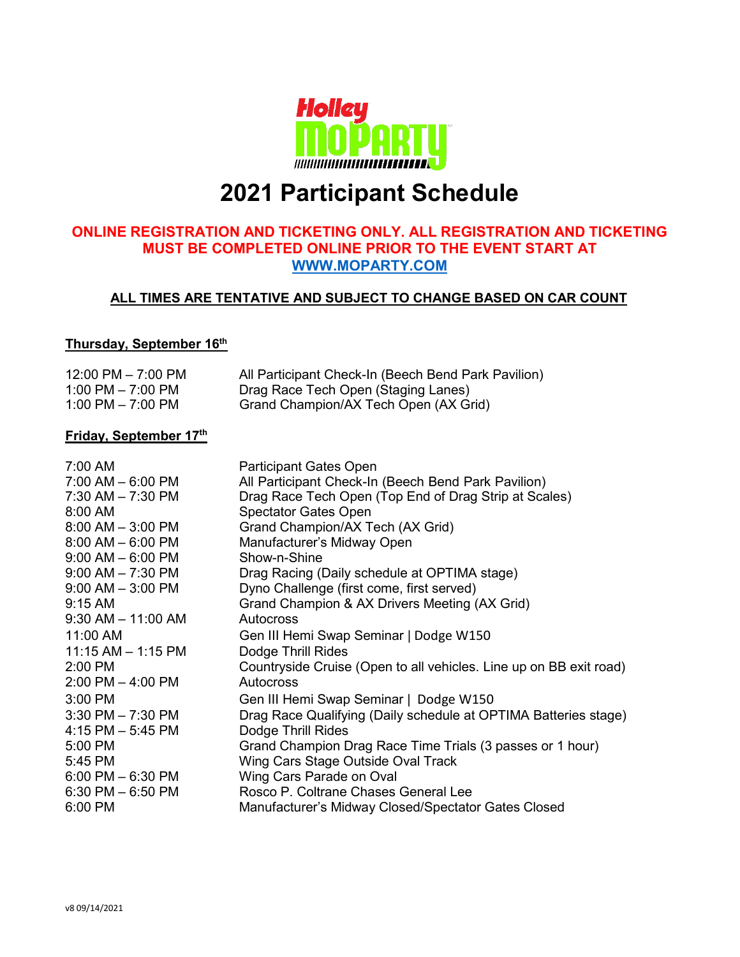

# **2021 Participant Schedule**

#### **ONLINE REGISTRATION AND TICKETING ONLY. ALL REGISTRATION AND TICKETING MUST BE COMPLETED ONLINE PRIOR TO THE EVENT START AT [WWW.MOPARTY.COM](http://www.moparty.com/)**

#### **ALL TIMES ARE TENTATIVE AND SUBJECT TO CHANGE BASED ON CAR COUNT**

#### **Thursday, September 16th**

| $12:00 \text{ PM} - 7:00 \text{ PM}$ | All Participant Check-In (Beech Bend Park Pavilion) |
|--------------------------------------|-----------------------------------------------------|
| 1:00 PM $-$ 7:00 PM                  | Drag Race Tech Open (Staging Lanes)                 |
| 1:00 PM $-$ 7:00 PM                  | Grand Champion/AX Tech Open (AX Grid)               |

#### **Friday, September 17th**

| 7:00 AM                | <b>Participant Gates Open</b>                                      |
|------------------------|--------------------------------------------------------------------|
| $7:00$ AM $-6:00$ PM   | All Participant Check-In (Beech Bend Park Pavilion)                |
| $7:30$ AM $-7:30$ PM   | Drag Race Tech Open (Top End of Drag Strip at Scales)              |
| 8:00 AM                | <b>Spectator Gates Open</b>                                        |
| $8:00$ AM $-$ 3:00 PM  | Grand Champion/AX Tech (AX Grid)                                   |
| $8:00$ AM $- 6:00$ PM  | Manufacturer's Midway Open                                         |
| $9:00$ AM $-6:00$ PM   | Show-n-Shine                                                       |
| $9:00$ AM $- 7:30$ PM  | Drag Racing (Daily schedule at OPTIMA stage)                       |
| $9:00$ AM $-3:00$ PM   | Dyno Challenge (first come, first served)                          |
| $9:15$ AM              | Grand Champion & AX Drivers Meeting (AX Grid)                      |
| $9:30$ AM $-$ 11:00 AM | <b>Autocross</b>                                                   |
| 11:00 AM               | Gen III Hemi Swap Seminar   Dodge W150                             |
| $11:15$ AM $- 1:15$ PM | Dodge Thrill Rides                                                 |
| 2:00 PM                | Countryside Cruise (Open to all vehicles. Line up on BB exit road) |
| $2:00$ PM $-$ 4:00 PM  | <b>Autocross</b>                                                   |
| $3:00$ PM              | Gen III Hemi Swap Seminar   Dodge W150                             |
| $3:30$ PM $- 7:30$ PM  | Drag Race Qualifying (Daily schedule at OPTIMA Batteries stage)    |
| $4:15$ PM $-5:45$ PM   | Dodge Thrill Rides                                                 |
| 5:00 PM                | Grand Champion Drag Race Time Trials (3 passes or 1 hour)          |
| 5:45 PM                | Wing Cars Stage Outside Oval Track                                 |
| $6:00$ PM $-6:30$ PM   | Wing Cars Parade on Oval                                           |
| $6:30$ PM $-6:50$ PM   | Rosco P. Coltrane Chases General Lee                               |
| 6:00 PM                | Manufacturer's Midway Closed/Spectator Gates Closed                |